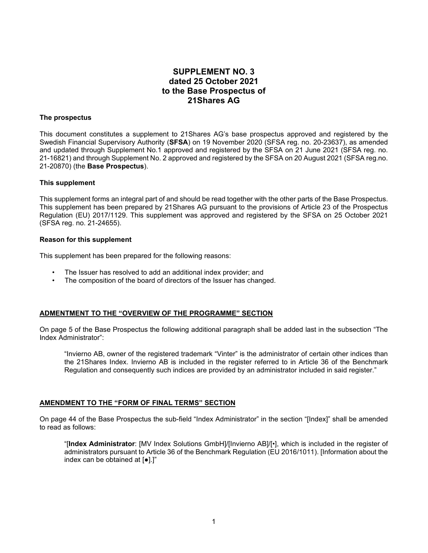# **SUPPLEMENT NO. 3 dated 25 October 2021 to the Base Prospectus of 21Shares AG**

### **The prospectus**

This document constitutes a supplement to 21Shares AG's base prospectus approved and registered by the Swedish Financial Supervisory Authority (**SFSA**) on 19 November 2020 (SFSA reg. no. 20-23637), as amended and updated through Supplement No.1 approved and registered by the SFSA on 21 June 2021 (SFSA reg. no. 21-16821) and through Supplement No. 2 approved and registered by the SFSA on 20 August 2021 (SFSA reg.no. 21-20870) (the **Base Prospectus**).

### **This supplement**

This supplement forms an integral part of and should be read together with the other parts of the Base Prospectus. This supplement has been prepared by 21Shares AG pursuant to the provisions of Article 23 of the Prospectus Regulation (EU) 2017/1129. This supplement was approved and registered by the SFSA on 25 October 2021 (SFSA reg. no. 21-24655).

### **Reason for this supplement**

This supplement has been prepared for the following reasons:

- The Issuer has resolved to add an additional index provider; and
- The composition of the board of directors of the Issuer has changed.

## **ADMENTMENT TO THE "OVERVIEW OF THE PROGRAMME" SECTION**

On page 5 of the Base Prospectus the following additional paragraph shall be added last in the subsection "The Index Administrator":

"Invierno AB, owner of the registered trademark "Vinter" is the administrator of certain other indices than the 21Shares Index. Invierno AB is included in the register referred to in Article 36 of the Benchmark Regulation and consequently such indices are provided by an administrator included in said register."

### **AMENDMENT TO THE "FORM OF FINAL TERMS" SECTION**

On page 44 of the Base Prospectus the sub-field "Index Administrator" in the section "[Index]" shall be amended to read as follows:

"[**Index Administrator**: [MV Index Solutions GmbH]/[Invierno AB]/[•], which is included in the register of administrators pursuant to Article 36 of the Benchmark Regulation (EU 2016/1011). [Information about the index can be obtained at [●].]"